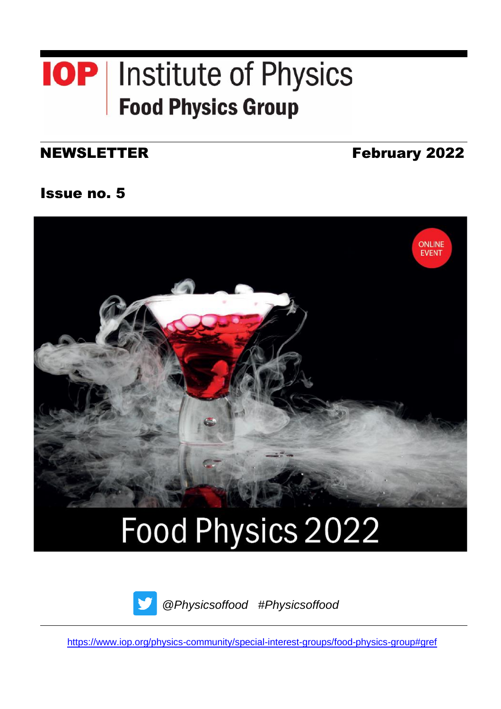## **IOP** | Institute of Physics **Food Physics Group**

### NEWSLETTER

February 2022

Issue no. 5



# Food Physics 2022



*@Physicsoffood #Physicsoffood*

<https://www.iop.org/physics-community/special-interest-groups/food-physics-group#gref>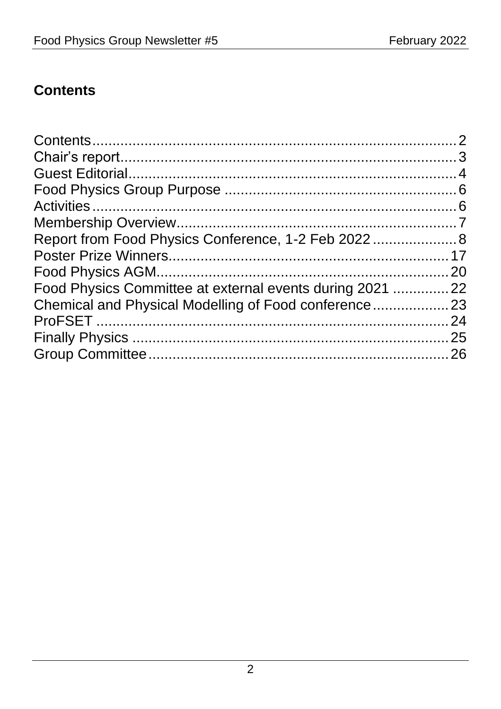## <span id="page-1-0"></span>**Contents**

|                                                          | 20 |
|----------------------------------------------------------|----|
| Food Physics Committee at external events during 2021 22 |    |
|                                                          |    |
|                                                          | 24 |
|                                                          | 25 |
|                                                          |    |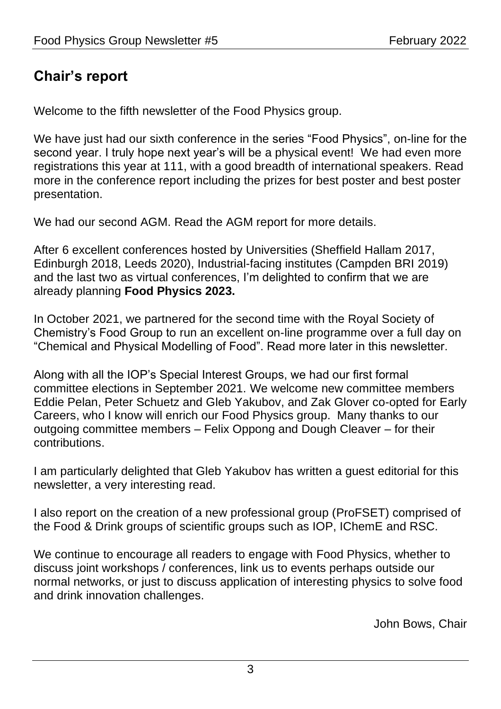## <span id="page-2-0"></span>**Chair's report**

Welcome to the fifth newsletter of the Food Physics group.

We have just had our sixth conference in the series "Food Physics", on-line for the second year. I truly hope next year's will be a physical event! We had even more registrations this year at 111, with a good breadth of international speakers. Read more in the conference report including the prizes for best poster and best poster presentation.

We had our second AGM. Read the AGM report for more details.

After 6 excellent conferences hosted by Universities (Sheffield Hallam 2017, Edinburgh 2018, Leeds 2020), Industrial-facing institutes (Campden BRI 2019) and the last two as virtual conferences, I'm delighted to confirm that we are already planning **Food Physics 2023.**

In October 2021, we partnered for the second time with the Royal Society of Chemistry's Food Group to run an excellent on-line programme over a full day on "Chemical and Physical Modelling of Food". Read more later in this newsletter.

Along with all the IOP's Special Interest Groups, we had our first formal committee elections in September 2021. We welcome new committee members Eddie Pelan, Peter Schuetz and Gleb Yakubov, and Zak Glover co-opted for Early Careers, who I know will enrich our Food Physics group. Many thanks to our outgoing committee members – Felix Oppong and Dough Cleaver – for their contributions.

I am particularly delighted that Gleb Yakubov has written a guest editorial for this newsletter, a very interesting read.

I also report on the creation of a new professional group (ProFSET) comprised of the Food & Drink groups of scientific groups such as IOP, IChemE and RSC.

We continue to encourage all readers to engage with Food Physics, whether to discuss joint workshops / conferences, link us to events perhaps outside our normal networks, or just to discuss application of interesting physics to solve food and drink innovation challenges.

John Bows, Chair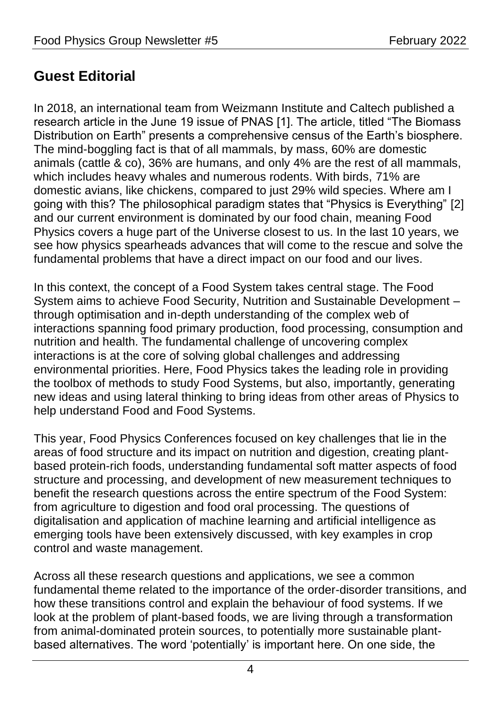## <span id="page-3-0"></span>**Guest Editorial**

In 2018, an international team from Weizmann Institute and Caltech published a research article in the June 19 issue of PNAS [1]. The article, titled "The Biomass Distribution on Earth" presents a comprehensive census of the Earth's biosphere. The mind-boggling fact is that of all mammals, by mass, 60% are domestic animals (cattle & co), 36% are humans, and only 4% are the rest of all mammals, which includes heavy whales and numerous rodents. With birds, 71% are domestic avians, like chickens, compared to just 29% wild species. Where am I going with this? The philosophical paradigm states that "Physics is Everything" [2] and our current environment is dominated by our food chain, meaning Food Physics covers a huge part of the Universe closest to us. In the last 10 years, we see how physics spearheads advances that will come to the rescue and solve the fundamental problems that have a direct impact on our food and our lives.

In this context, the concept of a Food System takes central stage. The Food System aims to achieve Food Security, Nutrition and Sustainable Development – through optimisation and in-depth understanding of the complex web of interactions spanning food primary production, food processing, consumption and nutrition and health. The fundamental challenge of uncovering complex interactions is at the core of solving global challenges and addressing environmental priorities. Here, Food Physics takes the leading role in providing the toolbox of methods to study Food Systems, but also, importantly, generating new ideas and using lateral thinking to bring ideas from other areas of Physics to help understand Food and Food Systems.

This year, Food Physics Conferences focused on key challenges that lie in the areas of food structure and its impact on nutrition and digestion, creating plantbased protein-rich foods, understanding fundamental soft matter aspects of food structure and processing, and development of new measurement techniques to benefit the research questions across the entire spectrum of the Food System: from agriculture to digestion and food oral processing. The questions of digitalisation and application of machine learning and artificial intelligence as emerging tools have been extensively discussed, with key examples in crop control and waste management.

Across all these research questions and applications, we see a common fundamental theme related to the importance of the order-disorder transitions, and how these transitions control and explain the behaviour of food systems. If we look at the problem of plant-based foods, we are living through a transformation from animal-dominated protein sources, to potentially more sustainable plantbased alternatives. The word 'potentially' is important here. On one side, the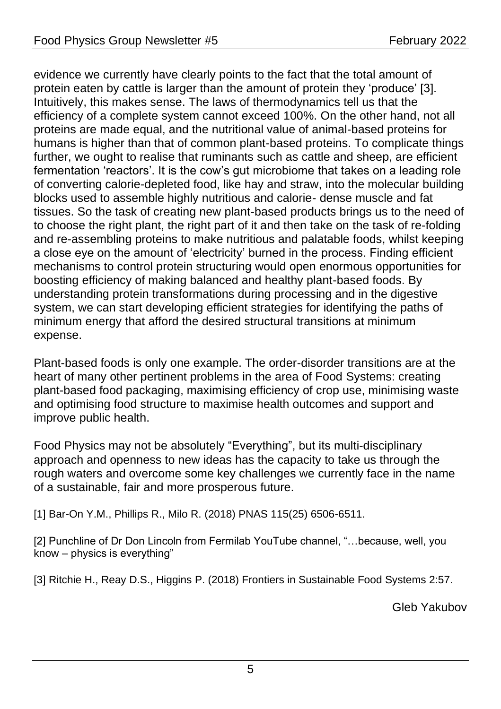evidence we currently have clearly points to the fact that the total amount of protein eaten by cattle is larger than the amount of protein they 'produce' [3]. Intuitively, this makes sense. The laws of thermodynamics tell us that the efficiency of a complete system cannot exceed 100%. On the other hand, not all proteins are made equal, and the nutritional value of animal-based proteins for humans is higher than that of common plant-based proteins. To complicate things further, we ought to realise that ruminants such as cattle and sheep, are efficient fermentation 'reactors'. It is the cow's gut microbiome that takes on a leading role of converting calorie-depleted food, like hay and straw, into the molecular building blocks used to assemble highly nutritious and calorie- dense muscle and fat tissues. So the task of creating new plant-based products brings us to the need of to choose the right plant, the right part of it and then take on the task of re-folding and re-assembling proteins to make nutritious and palatable foods, whilst keeping a close eye on the amount of 'electricity' burned in the process. Finding efficient mechanisms to control protein structuring would open enormous opportunities for boosting efficiency of making balanced and healthy plant-based foods. By understanding protein transformations during processing and in the digestive system, we can start developing efficient strategies for identifying the paths of minimum energy that afford the desired structural transitions at minimum expense.

Plant-based foods is only one example. The order-disorder transitions are at the heart of many other pertinent problems in the area of Food Systems: creating plant-based food packaging, maximising efficiency of crop use, minimising waste and optimising food structure to maximise health outcomes and support and improve public health.

Food Physics may not be absolutely "Everything", but its multi-disciplinary approach and openness to new ideas has the capacity to take us through the rough waters and overcome some key challenges we currently face in the name of a sustainable, fair and more prosperous future.

[1] Bar-On Y.M., Phillips R., Milo R. (2018) PNAS 115(25) 6506-6511.

[2] Punchline of Dr Don Lincoln from Fermilab YouTube channel, "…because, well, you know – physics is everything"

[3] Ritchie H., Reay D.S., Higgins P. (2018) Frontiers in Sustainable Food Systems 2:57.

Gleb Yakubov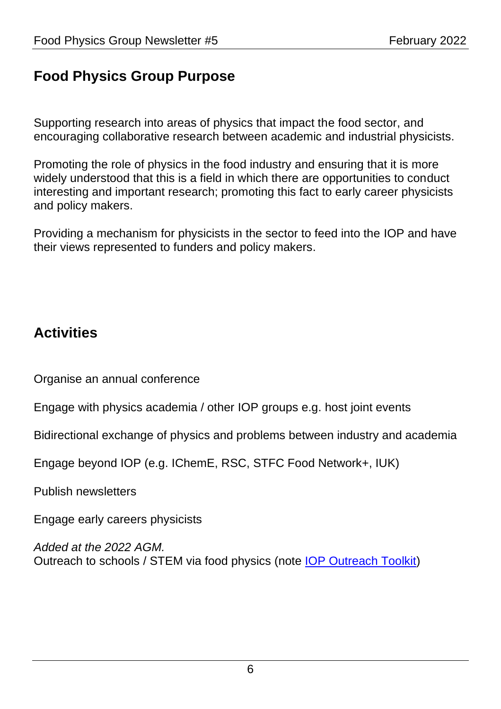## <span id="page-5-0"></span>**Food Physics Group Purpose**

Supporting research into areas of physics that impact the food sector, and encouraging collaborative research between academic and industrial physicists.

Promoting the role of physics in the food industry and ensuring that it is more widely understood that this is a field in which there are opportunities to conduct interesting and important research; promoting this fact to early career physicists and policy makers.

Providing a mechanism for physicists in the sector to feed into the IOP and have their views represented to funders and policy makers.

## <span id="page-5-1"></span>**Activities**

Organise an annual conference

Engage with physics academia / other IOP groups e.g. host joint events

Bidirectional exchange of physics and problems between industry and academia

Engage beyond IOP (e.g. IChemE, RSC, STFC Food Network+, IUK)

Publish newsletters

Engage early careers physicists

*Added at the 2022 AGM.* Outreach to schools / STEM via food physics (note [IOP Outreach Toolkit\)](https://www.iop.org/sites/default/files/2019-01/outreach-toolkit.pdf)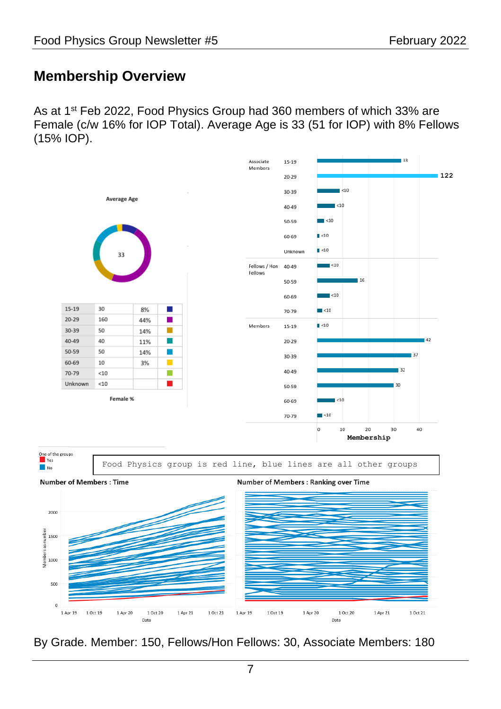## <span id="page-6-0"></span>**Membership Overview**

As at 1<sup>st</sup> Feb 2022, Food Physics Group had 360 members of which 33% are Female (c/w 16% for IOP Total). Average Age is 33 (51 for IOP) with 8% Fellows (15% IOP).



By Grade. Member: 150, Fellows/Hon Fellows: 30, Associate Members: 180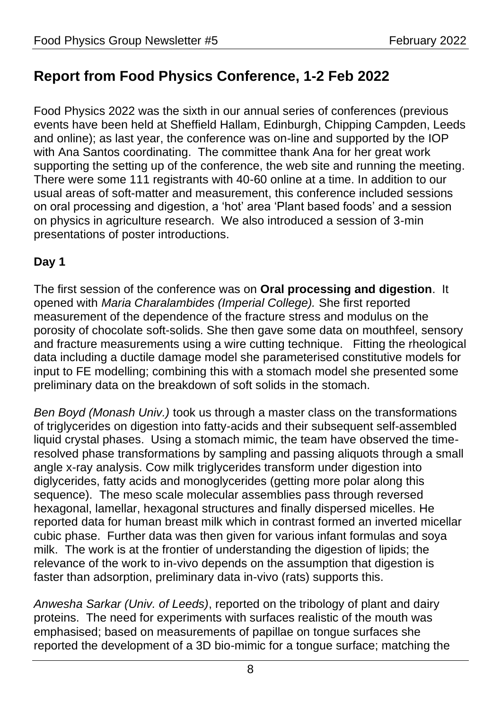## <span id="page-7-0"></span>**Report from Food Physics Conference, 1-2 Feb 2022**

Food Physics 2022 was the sixth in our annual series of conferences (previous events have been held at Sheffield Hallam, Edinburgh, Chipping Campden, Leeds and online); as last year, the conference was on-line and supported by the IOP with Ana Santos coordinating. The committee thank Ana for her great work supporting the setting up of the conference, the web site and running the meeting. There were some 111 registrants with 40-60 online at a time. In addition to our usual areas of soft-matter and measurement, this conference included sessions on oral processing and digestion, a 'hot' area 'Plant based foods' and a session on physics in agriculture research. We also introduced a session of 3-min presentations of poster introductions.

#### **Day 1**

The first session of the conference was on **Oral processing and digestion**. It opened with *Maria Charalambides (Imperial College).* She first reported measurement of the dependence of the fracture stress and modulus on the porosity of chocolate soft-solids. She then gave some data on mouthfeel, sensory and fracture measurements using a wire cutting technique. Fitting the rheological data including a ductile damage model she parameterised constitutive models for input to FE modelling; combining this with a stomach model she presented some preliminary data on the breakdown of soft solids in the stomach.

*Ben Boyd (Monash Univ.)* took us through a master class on the transformations of triglycerides on digestion into fatty-acids and their subsequent self-assembled liquid crystal phases. Using a stomach mimic, the team have observed the timeresolved phase transformations by sampling and passing aliquots through a small angle x-ray analysis. Cow milk triglycerides transform under digestion into diglycerides, fatty acids and monoglycerides (getting more polar along this sequence). The meso scale molecular assemblies pass through reversed hexagonal, lamellar, hexagonal structures and finally dispersed micelles. He reported data for human breast milk which in contrast formed an inverted micellar cubic phase. Further data was then given for various infant formulas and soya milk. The work is at the frontier of understanding the digestion of lipids; the relevance of the work to in-vivo depends on the assumption that digestion is faster than adsorption, preliminary data in-vivo (rats) supports this.

*Anwesha Sarkar (Univ. of Leeds)*, reported on the tribology of plant and dairy proteins. The need for experiments with surfaces realistic of the mouth was emphasised; based on measurements of papillae on tongue surfaces she reported the development of a 3D bio-mimic for a tongue surface; matching the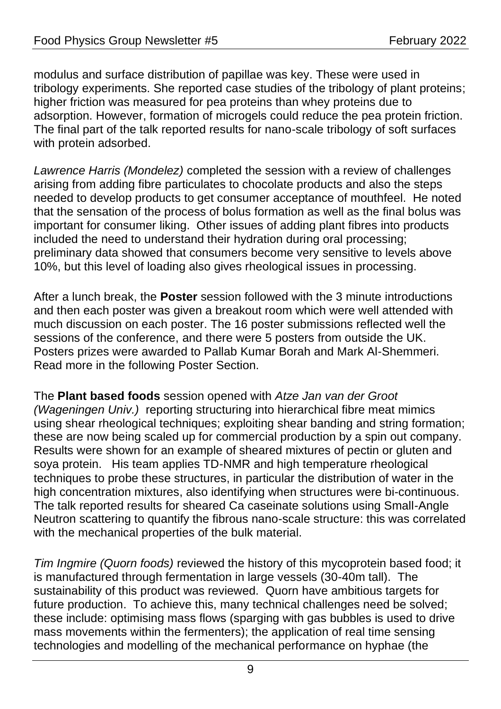modulus and surface distribution of papillae was key. These were used in tribology experiments. She reported case studies of the tribology of plant proteins; higher friction was measured for pea proteins than whey proteins due to adsorption. However, formation of microgels could reduce the pea protein friction. The final part of the talk reported results for nano-scale tribology of soft surfaces with protein adsorbed.

*Lawrence Harris (Mondelez)* completed the session with a review of challenges arising from adding fibre particulates to chocolate products and also the steps needed to develop products to get consumer acceptance of mouthfeel. He noted that the sensation of the process of bolus formation as well as the final bolus was important for consumer liking. Other issues of adding plant fibres into products included the need to understand their hydration during oral processing; preliminary data showed that consumers become very sensitive to levels above 10%, but this level of loading also gives rheological issues in processing.

After a lunch break, the **Poster** session followed with the 3 minute introductions and then each poster was given a breakout room which were well attended with much discussion on each poster. The 16 poster submissions reflected well the sessions of the conference, and there were 5 posters from outside the UK. Posters prizes were awarded to Pallab Kumar Borah and Mark Al-Shemmeri. Read more in the following Poster Section.

The **Plant based foods** session opened with *Atze Jan van der Groot (Wageningen Univ.)* reporting structuring into hierarchical fibre meat mimics using shear rheological techniques; exploiting shear banding and string formation; these are now being scaled up for commercial production by a spin out company. Results were shown for an example of sheared mixtures of pectin or gluten and soya protein. His team applies TD-NMR and high temperature rheological techniques to probe these structures, in particular the distribution of water in the high concentration mixtures, also identifying when structures were bi-continuous. The talk reported results for sheared Ca caseinate solutions using Small-Angle Neutron scattering to quantify the fibrous nano-scale structure: this was correlated with the mechanical properties of the bulk material.

*Tim Ingmire (Quorn foods)* reviewed the history of this mycoprotein based food; it is manufactured through fermentation in large vessels (30-40m tall). The sustainability of this product was reviewed. Quorn have ambitious targets for future production. To achieve this, many technical challenges need be solved; these include: optimising mass flows (sparging with gas bubbles is used to drive mass movements within the fermenters); the application of real time sensing technologies and modelling of the mechanical performance on hyphae (the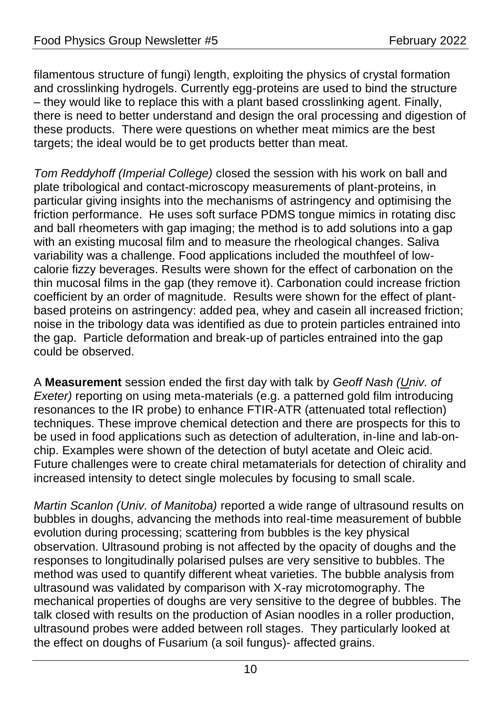filamentous structure of fungi) length, exploiting the physics of crystal formation and crosslinking hydrogels. Currently egg-proteins are used to bind the structure – they would like to replace this with a plant based crosslinking agent. Finally, there is need to better understand and design the oral processing and digestion of these products. There were questions on whether meat mimics are the best targets; the ideal would be to get products better than meat.

*Tom Reddyhoff (Imperial College)* closed the session with his work on ball and plate tribological and contact-microscopy measurements of plant-proteins, in particular giving insights into the mechanisms of astringency and optimising the friction performance. He uses soft surface PDMS tongue mimics in rotating disc and ball rheometers with gap imaging; the method is to add solutions into a gap with an existing mucosal film and to measure the rheological changes. Saliva variability was a challenge. Food applications included the mouthfeel of lowcalorie fizzy beverages. Results were shown for the effect of carbonation on the thin mucosal films in the gap (they remove it). Carbonation could increase friction coefficient by an order of magnitude. Results were shown for the effect of plantbased proteins on astringency: added pea, whey and casein all increased friction; noise in the tribology data was identified as due to protein particles entrained into the gap. Particle deformation and break-up of particles entrained into the gap could be observed.

A **Measurement** session ended the first day with talk by *Geoff Nash (Univ. of Exeter)* reporting on using meta-materials (e.g. a patterned gold film introducing resonances to the IR probe) to enhance FTIR-ATR (attenuated total reflection) techniques. These improve chemical detection and there are prospects for this to be used in food applications such as detection of adulteration, in-line and lab-onchip. Examples were shown of the detection of butyl acetate and Oleic acid. Future challenges were to create chiral metamaterials for detection of chirality and increased intensity to detect single molecules by focusing to small scale.

*Martin Scanlon (Univ. of Manitoba)* reported a wide range of ultrasound results on bubbles in doughs, advancing the methods into real-time measurement of bubble evolution during processing; scattering from bubbles is the key physical observation. Ultrasound probing is not affected by the opacity of doughs and the responses to longitudinally polarised pulses are very sensitive to bubbles. The method was used to quantify different wheat varieties. The bubble analysis from ultrasound was validated by comparison with X-ray microtomography. The mechanical properties of doughs are very sensitive to the degree of bubbles. The talk closed with results on the production of Asian noodles in a roller production, ultrasound probes were added between roll stages. They particularly looked at the effect on doughs of Fusarium (a soil fungus)- affected grains.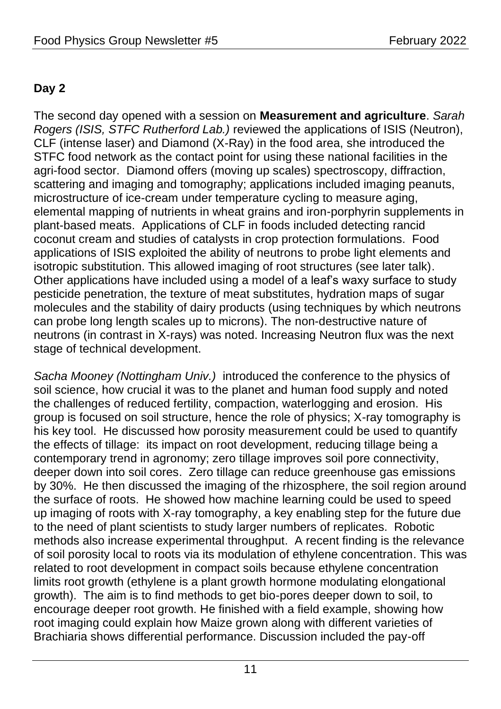#### **Day 2**

The second day opened with a session on **Measurement and agriculture**. *Sarah Rogers (ISIS, STFC Rutherford Lab.)* reviewed the applications of ISIS (Neutron), CLF (intense laser) and Diamond (X-Ray) in the food area, she introduced the STFC food network as the contact point for using these national facilities in the agri-food sector. Diamond offers (moving up scales) spectroscopy, diffraction, scattering and imaging and tomography; applications included imaging peanuts, microstructure of ice-cream under temperature cycling to measure aging, elemental mapping of nutrients in wheat grains and iron-porphyrin supplements in plant-based meats. Applications of CLF in foods included detecting rancid coconut cream and studies of catalysts in crop protection formulations. Food applications of ISIS exploited the ability of neutrons to probe light elements and isotropic substitution. This allowed imaging of root structures (see later talk). Other applications have included using a model of a leaf's waxy surface to study pesticide penetration, the texture of meat substitutes, hydration maps of sugar molecules and the stability of dairy products (using techniques by which neutrons can probe long length scales up to microns). The non-destructive nature of neutrons (in contrast in X-rays) was noted. Increasing Neutron flux was the next stage of technical development.

*Sacha Mooney (Nottingham Univ.)* introduced the conference to the physics of soil science, how crucial it was to the planet and human food supply and noted the challenges of reduced fertility, compaction, waterlogging and erosion. His group is focused on soil structure, hence the role of physics; X-ray tomography is his key tool. He discussed how porosity measurement could be used to quantify the effects of tillage: its impact on root development, reducing tillage being a contemporary trend in agronomy; zero tillage improves soil pore connectivity, deeper down into soil cores. Zero tillage can reduce greenhouse gas emissions by 30%. He then discussed the imaging of the rhizosphere, the soil region around the surface of roots. He showed how machine learning could be used to speed up imaging of roots with X-ray tomography, a key enabling step for the future due to the need of plant scientists to study larger numbers of replicates. Robotic methods also increase experimental throughput. A recent finding is the relevance of soil porosity local to roots via its modulation of ethylene concentration. This was related to root development in compact soils because ethylene concentration limits root growth (ethylene is a plant growth hormone modulating elongational growth). The aim is to find methods to get bio-pores deeper down to soil, to encourage deeper root growth. He finished with a field example, showing how root imaging could explain how Maize grown along with different varieties of Brachiaria shows differential performance. Discussion included the pay-off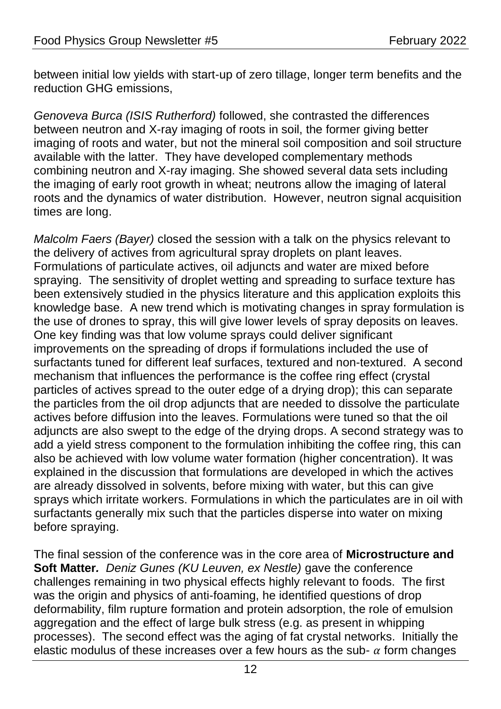between initial low yields with start-up of zero tillage, longer term benefits and the reduction GHG emissions,

*Genoveva Burca (ISIS Rutherford)* followed, she contrasted the differences between neutron and X-ray imaging of roots in soil, the former giving better imaging of roots and water, but not the mineral soil composition and soil structure available with the latter. They have developed complementary methods combining neutron and X-ray imaging. She showed several data sets including the imaging of early root growth in wheat; neutrons allow the imaging of lateral roots and the dynamics of water distribution. However, neutron signal acquisition times are long.

*Malcolm Faers (Bayer)* closed the session with a talk on the physics relevant to the delivery of actives from agricultural spray droplets on plant leaves. Formulations of particulate actives, oil adjuncts and water are mixed before spraying. The sensitivity of droplet wetting and spreading to surface texture has been extensively studied in the physics literature and this application exploits this knowledge base. A new trend which is motivating changes in spray formulation is the use of drones to spray, this will give lower levels of spray deposits on leaves. One key finding was that low volume sprays could deliver significant improvements on the spreading of drops if formulations included the use of surfactants tuned for different leaf surfaces, textured and non-textured. A second mechanism that influences the performance is the coffee ring effect (crystal particles of actives spread to the outer edge of a drying drop); this can separate the particles from the oil drop adjuncts that are needed to dissolve the particulate actives before diffusion into the leaves. Formulations were tuned so that the oil adjuncts are also swept to the edge of the drying drops. A second strategy was to add a yield stress component to the formulation inhibiting the coffee ring, this can also be achieved with low volume water formation (higher concentration). It was explained in the discussion that formulations are developed in which the actives are already dissolved in solvents, before mixing with water, but this can give sprays which irritate workers. Formulations in which the particulates are in oil with surfactants generally mix such that the particles disperse into water on mixing before spraying.

The final session of the conference was in the core area of **Microstructure and Soft Matter***. Deniz Gunes (KU Leuven, ex Nestle)* gave the conference challenges remaining in two physical effects highly relevant to foods. The first was the origin and physics of anti-foaming, he identified questions of drop deformability, film rupture formation and protein adsorption, the role of emulsion aggregation and the effect of large bulk stress (e.g. as present in whipping processes). The second effect was the aging of fat crystal networks. Initially the elastic modulus of these increases over a few hours as the sub-  $\alpha$  form changes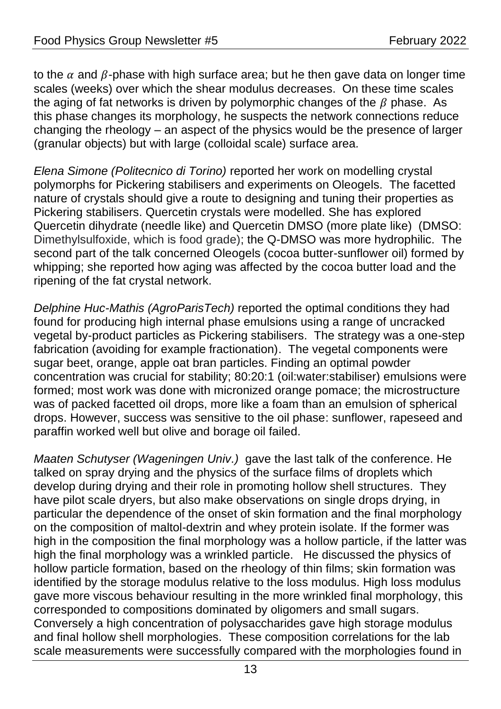to the  $\alpha$  and  $\beta$ -phase with high surface area; but he then gave data on longer time scales (weeks) over which the shear modulus decreases. On these time scales the aging of fat networks is driven by polymorphic changes of the  $\beta$  phase. As this phase changes its morphology, he suspects the network connections reduce changing the rheology – an aspect of the physics would be the presence of larger (granular objects) but with large (colloidal scale) surface area*.*

*Elena Simone (Politecnico di Torino)* reported her work on modelling crystal polymorphs for Pickering stabilisers and experiments on Oleogels. The facetted nature of crystals should give a route to designing and tuning their properties as Pickering stabilisers. Quercetin crystals were modelled. She has explored Quercetin dihydrate (needle like) and Quercetin DMSO (more plate like) (DMSO: Dimethylsulfoxide, which is food grade); the Q-DMSO was more hydrophilic. The second part of the talk concerned Oleogels (cocoa butter-sunflower oil) formed by whipping; she reported how aging was affected by the cocoa butter load and the ripening of the fat crystal network.

*Delphine Huc-Mathis (AgroParisTech)* reported the optimal conditions they had found for producing high internal phase emulsions using a range of uncracked vegetal by-product particles as Pickering stabilisers. The strategy was a one-step fabrication (avoiding for example fractionation). The vegetal components were sugar beet, orange, apple oat bran particles. Finding an optimal powder concentration was crucial for stability; 80:20:1 (oil:water:stabiliser) emulsions were formed; most work was done with micronized orange pomace; the microstructure was of packed facetted oil drops, more like a foam than an emulsion of spherical drops. However, success was sensitive to the oil phase: sunflower, rapeseed and paraffin worked well but olive and borage oil failed.

*Maaten Schutyser (Wageningen Univ.)* gave the last talk of the conference. He talked on spray drying and the physics of the surface films of droplets which develop during drying and their role in promoting hollow shell structures. They have pilot scale dryers, but also make observations on single drops drying, in particular the dependence of the onset of skin formation and the final morphology on the composition of maltol-dextrin and whey protein isolate. If the former was high in the composition the final morphology was a hollow particle, if the latter was high the final morphology was a wrinkled particle. He discussed the physics of hollow particle formation, based on the rheology of thin films; skin formation was identified by the storage modulus relative to the loss modulus. High loss modulus gave more viscous behaviour resulting in the more wrinkled final morphology, this corresponded to compositions dominated by oligomers and small sugars. Conversely a high concentration of polysaccharides gave high storage modulus and final hollow shell morphologies. These composition correlations for the lab scale measurements were successfully compared with the morphologies found in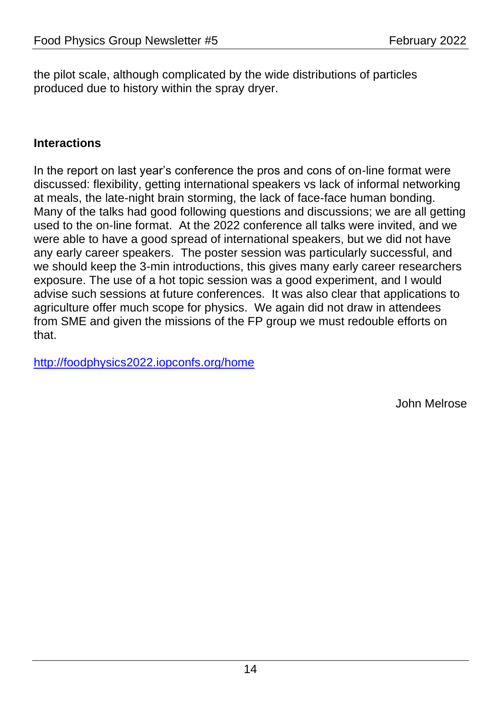the pilot scale, although complicated by the wide distributions of particles produced due to history within the spray dryer.

#### **Interactions**

In the report on last year's conference the pros and cons of on-line format were discussed: flexibility, getting international speakers vs lack of informal networking at meals, the late-night brain storming, the lack of face-face human bonding. Many of the talks had good following questions and discussions; we are all getting used to the on-line format. At the 2022 conference all talks were invited, and we were able to have a good spread of international speakers, but we did not have any early career speakers. The poster session was particularly successful, and we should keep the 3-min introductions, this gives many early career researchers exposure. The use of a hot topic session was a good experiment, and I would advise such sessions at future conferences. It was also clear that applications to agriculture offer much scope for physics. We again did not draw in attendees from SME and given the missions of the FP group we must redouble efforts on that.

<http://foodphysics2022.iopconfs.org/home>

John Melrose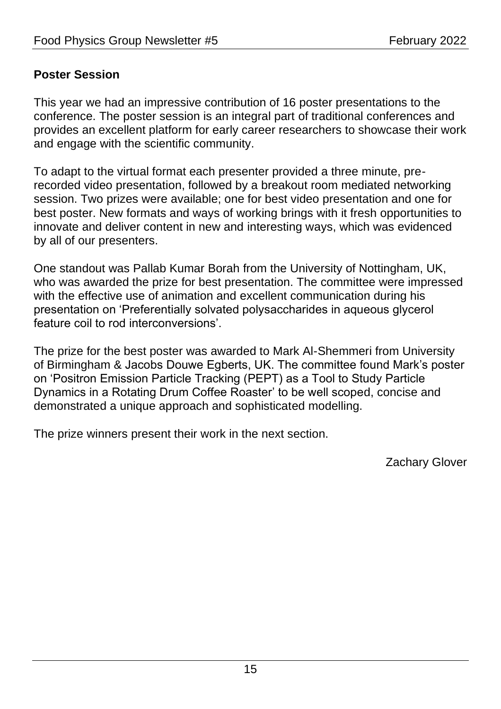#### **Poster Session**

This year we had an impressive contribution of 16 poster presentations to the conference. The poster session is an integral part of traditional conferences and provides an excellent platform for early career researchers to showcase their work and engage with the scientific community.

To adapt to the virtual format each presenter provided a three minute, prerecorded video presentation, followed by a breakout room mediated networking session. Two prizes were available; one for best video presentation and one for best poster. New formats and ways of working brings with it fresh opportunities to innovate and deliver content in new and interesting ways, which was evidenced by all of our presenters.

One standout was Pallab Kumar Borah from the University of Nottingham, UK, who was awarded the prize for best presentation. The committee were impressed with the effective use of animation and excellent communication during his presentation on 'Preferentially solvated polysaccharides in aqueous glycerol feature coil to rod interconversions'.

The prize for the best poster was awarded to Mark Al-Shemmeri from University of Birmingham & Jacobs Douwe Egberts, UK. The committee found Mark's poster on 'Positron Emission Particle Tracking (PEPT) as a Tool to Study Particle Dynamics in a Rotating Drum Coffee Roaster' to be well scoped, concise and demonstrated a unique approach and sophisticated modelling.

The prize winners present their work in the next section.

Zachary Glover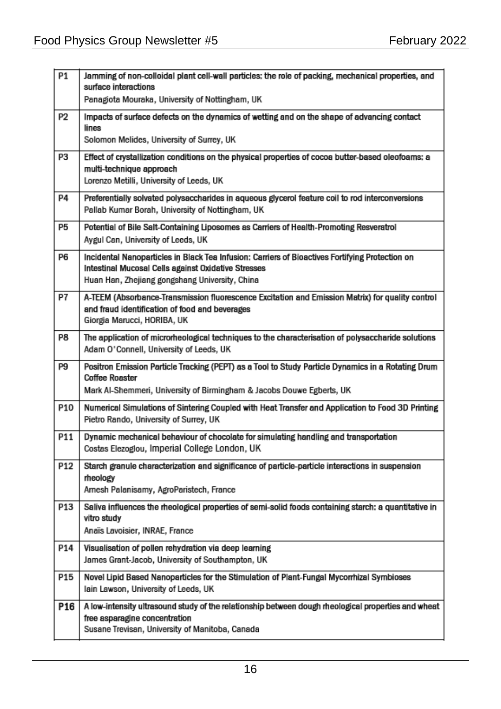| P1              | Jamming of non-colloidal plant cell-wall particles; the role of packing, mechanical properties, and<br>surface interactions                                                                              |
|-----------------|----------------------------------------------------------------------------------------------------------------------------------------------------------------------------------------------------------|
|                 | Panagiota Mouraka, University of Nottingham, UK                                                                                                                                                          |
| P <sub>2</sub>  | Impacts of surface defects on the dynamics of wetting and on the shape of advancing contact<br>lines<br>Solomon Melides, University of Surrey, UK                                                        |
| P3              | Effect of crystallization conditions on the physical properties of cocoa butter-based oleofoams; a<br>multi-technique approach<br>Lorenzo Metilli, University of Leeds, UK                               |
| <b>P4</b>       | Preferentially solvated polysaccharides in aqueous glycerol feature coil to rod interconversions<br>Pallab Kumar Borah, University of Nottingham, UK                                                     |
| P5              | Potential of Bile Salt-Containing Liposomes as Carriers of Health-Promoting Resveratrol<br>Aygul Can, University of Leeds, UK                                                                            |
| P6              | Incidental Nanoparticles in Black Tea Infusion: Carriers of Bioactives Fortifying Protection on<br>Intestinal Mucosal Cells against Oxidative Stresses<br>Huan Han, Zhejiang gongshang University, China |
| P7              | A-TEEM (Absorbance-Transmission fluorescence Excitation and Emission Matrix) for quality control<br>and fraud identification of food and beverages<br>Giorgia Marucci, HORIBA, UK                        |
| P8              | The application of microrheological techniques to the characterisation of polysaccharide solutions<br>Adam O'Connell, University of Leeds, UK                                                            |
| P9              | Positron Emission Particle Tracking (PEPT) as a Tool to Study Particle Dynamics in a Rotating Drum<br><b>Coffee Roaster</b>                                                                              |
|                 | Mark Al-Shemmeri, University of Birmingham & Jacobs Douwe Egberts, UK                                                                                                                                    |
| P10             | Numerical Simulations of Sintering Coupled with Heat Transfer and Application to Food 3D Printing<br>Pietro Rando, University of Surrey, UK                                                              |
| P11             | Dynamic mechanical behaviour of chocolate for simulating handling and transportation<br>Costas Elezogiou, Imperial College London, UK                                                                    |
| P <sub>12</sub> | Starch granule characterization and significance of particle-particle interactions in suspension<br>rheology<br>Arnesh Palanisamy, AgroParistech, France                                                 |
| <b>P13</b>      | Saliva influences the rheological properties of semi-solid foods containing starch: a quantitative in<br>vitro study<br>Anaïs Lavoisier, INRAE, France                                                   |
| P14             | Visualisation of pollen rehydration via deep learning<br>James Grant-Jacob, University of Southampton, UK                                                                                                |
| P15             | Novel Lipid Based Nanoparticles for the Stimulation of Plant-Fungal Mycorrhizal Symbioses<br>lain Lawson, University of Leeds, UK                                                                        |
| P <sub>16</sub> | A low-intensity ultrasound study of the relationship between dough rheological properties and wheat<br>free asparagine concentration<br>Susane Trevisan, University of Manitoba, Canada                  |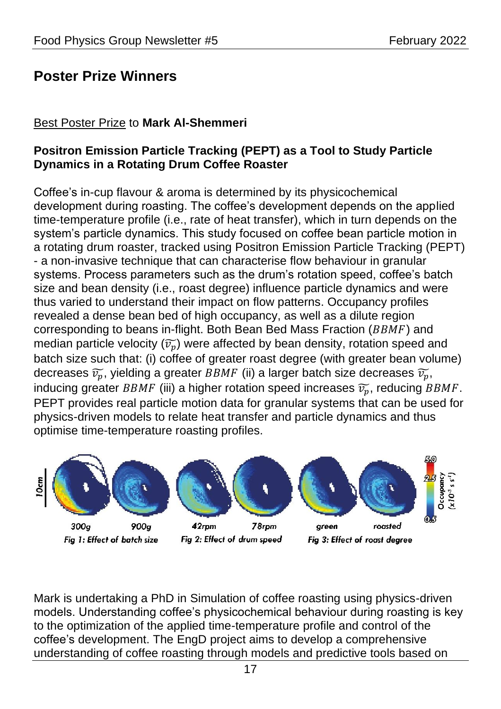## <span id="page-16-0"></span>**Poster Prize Winners**

#### Best Poster Prize to **Mark Al-Shemmeri**

#### **Positron Emission Particle Tracking (PEPT) as a Tool to Study Particle Dynamics in a Rotating Drum Coffee Roaster**

Coffee's in-cup flavour & aroma is determined by its physicochemical development during roasting. The coffee's development depends on the applied time-temperature profile (i.e., rate of heat transfer), which in turn depends on the system's particle dynamics. This study focused on coffee bean particle motion in a rotating drum roaster, tracked using Positron Emission Particle Tracking (PEPT) - a non-invasive technique that can characterise flow behaviour in granular systems. Process parameters such as the drum's rotation speed, coffee's batch size and bean density (i.e., roast degree) influence particle dynamics and were thus varied to understand their impact on flow patterns. Occupancy profiles revealed a dense bean bed of high occupancy, as well as a dilute region corresponding to beans in-flight. Both Bean Bed Mass Fraction ( $BBMF$ ) and median particle velocity  $(\widetilde{v_n})$  were affected by bean density, rotation speed and batch size such that: (i) coffee of greater roast degree (with greater bean volume) decreases  $\widetilde{v_n}$ , yielding a greater BBMF (ii) a larger batch size decreases  $\widetilde{v_n}$ , inducing greater BBMF (iii) a higher rotation speed increases  $\widetilde{v_n}$ , reducing BBMF. PEPT provides real particle motion data for granular systems that can be used for physics-driven models to relate heat transfer and particle dynamics and thus optimise time-temperature roasting profiles.



Mark is undertaking a PhD in Simulation of coffee roasting using physics-driven models. Understanding coffee's physicochemical behaviour during roasting is key to the optimization of the applied time-temperature profile and control of the coffee's development. The EngD project aims to develop a comprehensive understanding of coffee roasting through models and predictive tools based on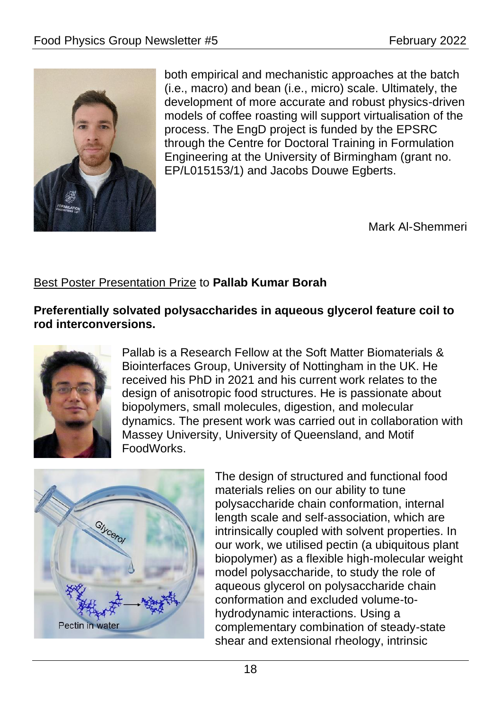

both empirical and mechanistic approaches at the batch (i.e., macro) and bean (i.e., micro) scale. Ultimately, the development of more accurate and robust physics-driven models of coffee roasting will support virtualisation of the process. The EngD project is funded by the EPSRC through the Centre for Doctoral Training in Formulation Engineering at the University of Birmingham (grant no. EP/L015153/1) and Jacobs Douwe Egberts.

Mark Al-Shemmeri

#### Best Poster Presentation Prize to **Pallab Kumar Borah**

**Preferentially solvated polysaccharides in aqueous glycerol feature coil to rod interconversions.**



Pallab is a Research Fellow at the Soft Matter Biomaterials & Biointerfaces Group, University of Nottingham in the UK. He received his PhD in 2021 and his current work relates to the design of anisotropic food structures. He is passionate about biopolymers, small molecules, digestion, and molecular dynamics. The present work was carried out in collaboration with Massey University, University of Queensland, and Motif FoodWorks.



The design of structured and functional food materials relies on our ability to tune polysaccharide chain conformation, internal length scale and self-association, which are intrinsically coupled with solvent properties. In our work, we utilised pectin (a ubiquitous plant biopolymer) as a flexible high-molecular weight model polysaccharide, to study the role of aqueous glycerol on polysaccharide chain conformation and excluded volume-tohydrodynamic interactions. Using a complementary combination of steady-state shear and extensional rheology, intrinsic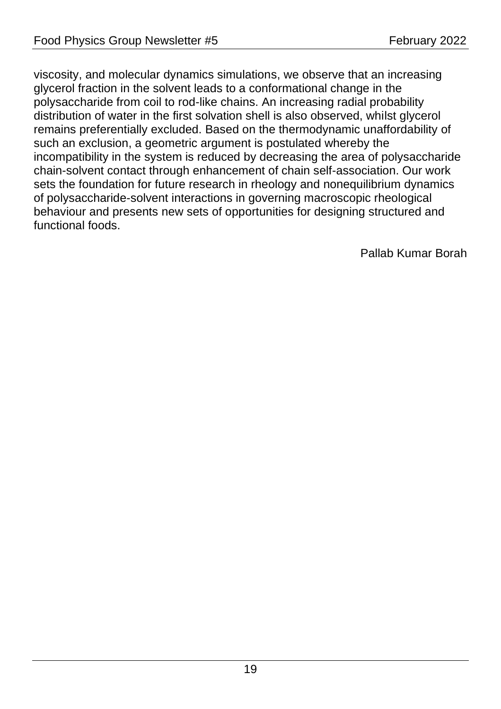viscosity, and molecular dynamics simulations, we observe that an increasing glycerol fraction in the solvent leads to a conformational change in the polysaccharide from coil to rod-like chains. An increasing radial probability distribution of water in the first solvation shell is also observed, whilst glycerol remains preferentially excluded. Based on the thermodynamic unaffordability of such an exclusion, a geometric argument is postulated whereby the incompatibility in the system is reduced by decreasing the area of polysaccharide chain-solvent contact through enhancement of chain self-association. Our work sets the foundation for future research in rheology and nonequilibrium dynamics of polysaccharide-solvent interactions in governing macroscopic rheological behaviour and presents new sets of opportunities for designing structured and functional foods.

Pallab Kumar Borah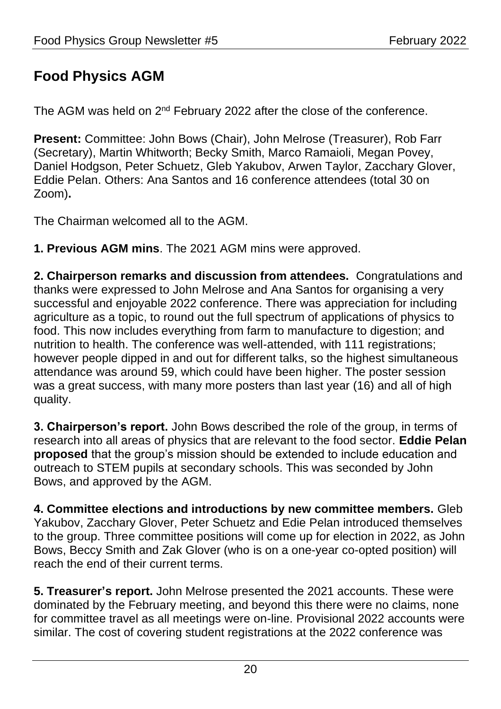## <span id="page-19-0"></span>**Food Physics AGM**

The AGM was held on  $2^{nd}$  February 2022 after the close of the conference.

**Present:** Committee: John Bows (Chair), John Melrose (Treasurer), Rob Farr (Secretary), Martin Whitworth; Becky Smith, Marco Ramaioli, Megan Povey, Daniel Hodgson, Peter Schuetz, Gleb Yakubov, Arwen Taylor, Zacchary Glover, Eddie Pelan. Others: Ana Santos and 16 conference attendees (total 30 on Zoom)**.**

The Chairman welcomed all to the AGM.

**1. Previous AGM mins**. The 2021 AGM mins were approved.

**2. Chairperson remarks and discussion from attendees.** Congratulations and thanks were expressed to John Melrose and Ana Santos for organising a very successful and enjoyable 2022 conference. There was appreciation for including agriculture as a topic, to round out the full spectrum of applications of physics to food. This now includes everything from farm to manufacture to digestion; and nutrition to health. The conference was well-attended, with 111 registrations; however people dipped in and out for different talks, so the highest simultaneous attendance was around 59, which could have been higher. The poster session was a great success, with many more posters than last year (16) and all of high quality.

**3. Chairperson's report.** John Bows described the role of the group, in terms of research into all areas of physics that are relevant to the food sector. **Eddie Pelan proposed** that the group's mission should be extended to include education and outreach to STEM pupils at secondary schools. This was seconded by John Bows, and approved by the AGM.

**4. Committee elections and introductions by new committee members.** Gleb Yakubov, Zacchary Glover, Peter Schuetz and Edie Pelan introduced themselves to the group. Three committee positions will come up for election in 2022, as John Bows, Beccy Smith and Zak Glover (who is on a one-year co-opted position) will reach the end of their current terms.

**5. Treasurer's report.** John Melrose presented the 2021 accounts. These were dominated by the February meeting, and beyond this there were no claims, none for committee travel as all meetings were on-line. Provisional 2022 accounts were similar. The cost of covering student registrations at the 2022 conference was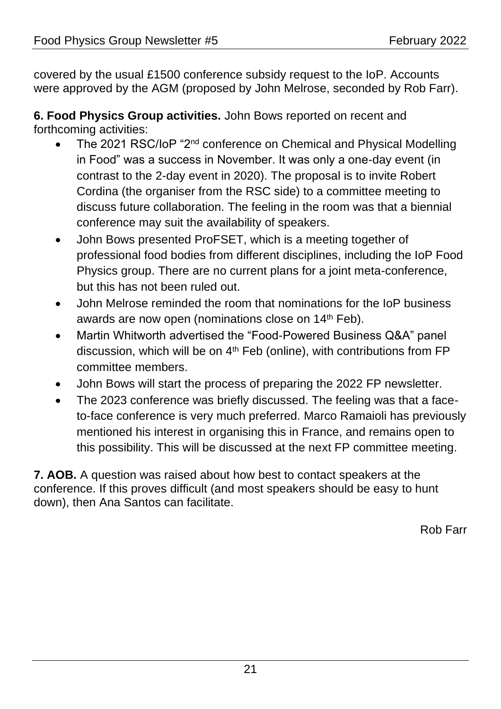covered by the usual £1500 conference subsidy request to the IoP. Accounts were approved by the AGM (proposed by John Melrose, seconded by Rob Farr).

**6. Food Physics Group activities.** John Bows reported on recent and forthcoming activities:

- The 2021 RSC/IoP "2nd conference on Chemical and Physical Modelling in Food" was a success in November. It was only a one-day event (in contrast to the 2-day event in 2020). The proposal is to invite Robert Cordina (the organiser from the RSC side) to a committee meeting to discuss future collaboration. The feeling in the room was that a biennial conference may suit the availability of speakers.
- John Bows presented ProFSET, which is a meeting together of professional food bodies from different disciplines, including the IoP Food Physics group. There are no current plans for a joint meta-conference, but this has not been ruled out.
- John Melrose reminded the room that nominations for the IoP business awards are now open (nominations close on 14<sup>th</sup> Feb).
- Martin Whitworth advertised the "Food-Powered Business Q&A" panel discussion, which will be on  $4<sup>th</sup>$  Feb (online), with contributions from FP committee members.
- John Bows will start the process of preparing the 2022 FP newsletter.
- The 2023 conference was briefly discussed. The feeling was that a faceto-face conference is very much preferred. Marco Ramaioli has previously mentioned his interest in organising this in France, and remains open to this possibility. This will be discussed at the next FP committee meeting.

**7. AOB.** A question was raised about how best to contact speakers at the conference. If this proves difficult (and most speakers should be easy to hunt down), then Ana Santos can facilitate.

Rob Farr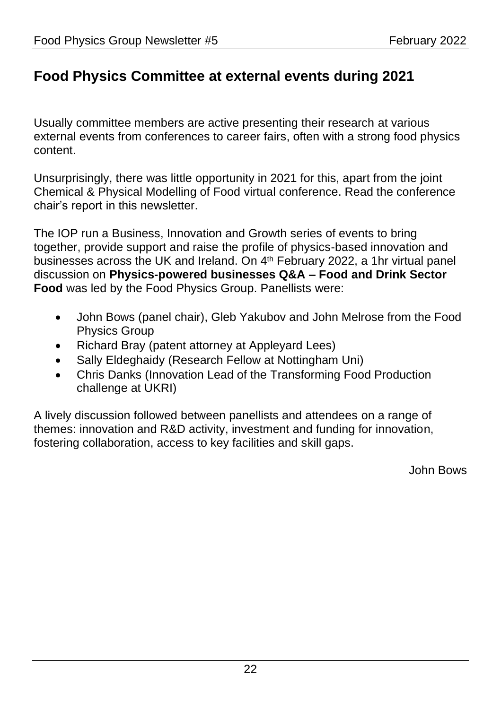## <span id="page-21-0"></span>**Food Physics Committee at external events during 2021**

Usually committee members are active presenting their research at various external events from conferences to career fairs, often with a strong food physics content.

Unsurprisingly, there was little opportunity in 2021 for this, apart from the joint Chemical & Physical Modelling of Food virtual conference. Read the conference chair's report in this newsletter.

The IOP run a Business, Innovation and Growth series of events to bring together, provide support and raise the profile of physics-based innovation and businesses across the UK and Ireland. On 4th February 2022, a 1hr virtual panel discussion on **Physics-powered businesses Q&A – Food and Drink Sector Food** was led by the Food Physics Group. Panellists were:

- John Bows (panel chair), Gleb Yakubov and John Melrose from the Food Physics Group
- Richard Bray (patent attorney at Appleyard Lees)
- Sally Eldeghaidy (Research Fellow at Nottingham Uni)
- Chris Danks (Innovation Lead of the Transforming Food Production challenge at UKRI)

A lively discussion followed between panellists and attendees on a range of themes: innovation and R&D activity, investment and funding for innovation, fostering collaboration, access to key facilities and skill gaps.

John Bows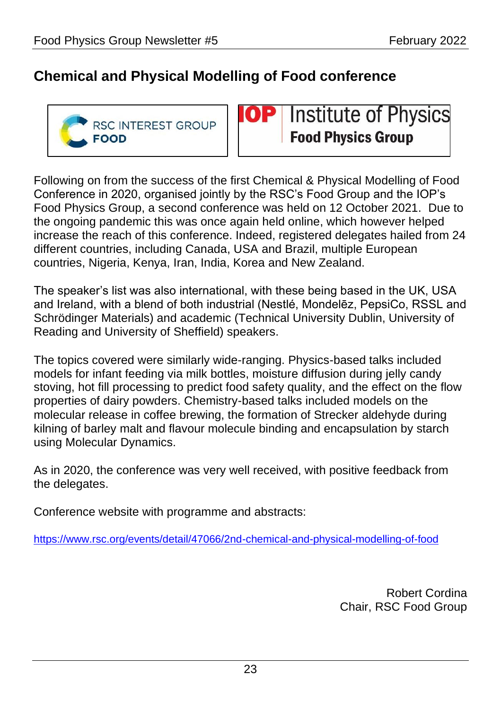## <span id="page-22-0"></span>**Chemical and Physical Modelling of Food conference**



**Institute of Physics** 0 P **Food Physics Group** 

Following on from the success of the first Chemical & Physical Modelling of Food Conference in 2020, organised jointly by the RSC's Food Group and the IOP's Food Physics Group, a second conference was held on 12 October 2021. Due to the ongoing pandemic this was once again held online, which however helped increase the reach of this conference. Indeed, registered delegates hailed from 24 different countries, including Canada, USA and Brazil, multiple European countries, Nigeria, Kenya, Iran, India, Korea and New Zealand.

The speaker's list was also international, with these being based in the UK, USA and Ireland, with a blend of both industrial (Nestlé, Mondelēz, PepsiCo, RSSL and Schrödinger Materials) and academic (Technical University Dublin, University of Reading and University of Sheffield) speakers.

The topics covered were similarly wide-ranging. Physics-based talks included models for infant feeding via milk bottles, moisture diffusion during jelly candy stoving, hot fill processing to predict food safety quality, and the effect on the flow properties of dairy powders. Chemistry-based talks included models on the molecular release in coffee brewing, the formation of Strecker aldehyde during kilning of barley malt and flavour molecule binding and encapsulation by starch using Molecular Dynamics.

As in 2020, the conference was very well received, with positive feedback from the delegates.

Conference website with programme and abstracts:

<https://www.rsc.org/events/detail/47066/2nd-chemical-and-physical-modelling-of-food>

Robert Cordina Chair, RSC Food Group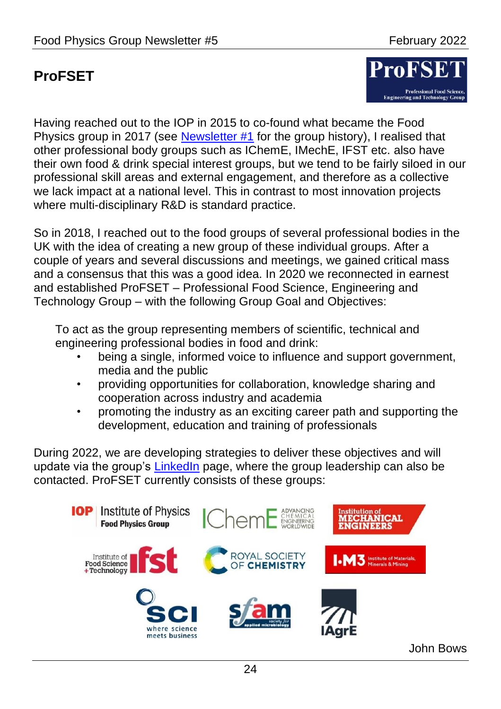## <span id="page-23-0"></span>**ProFSET**



Having reached out to the IOP in 2015 to co-found what became the Food Physics group in 2017 (see [Newsletter #1](https://www.iop.org/sites/default/files/2019-06/newsletter-march-2018.pdf) for the group history), I realised that other professional body groups such as IChemE, IMechE, IFST etc. also have their own food & drink special interest groups, but we tend to be fairly siloed in our professional skill areas and external engagement, and therefore as a collective we lack impact at a national level. This in contrast to most innovation projects where multi-disciplinary R&D is standard practice.

So in 2018, I reached out to the food groups of several professional bodies in the UK with the idea of creating a new group of these individual groups. After a couple of years and several discussions and meetings, we gained critical mass and a consensus that this was a good idea. In 2020 we reconnected in earnest and established ProFSET – Professional Food Science, Engineering and Technology Group – with the following Group Goal and Objectives:

To act as the group representing members of scientific, technical and engineering professional bodies in food and drink:

- being a single, informed voice to influence and support government, media and the public
- providing opportunities for collaboration, knowledge sharing and cooperation across industry and academia
- promoting the industry as an exciting career path and supporting the development, education and training of professionals

During 2022, we are developing strategies to deliver these objectives and will update via the group's [LinkedIn](https://www.linkedin.com/groups/9099124/) page, where the group leadership can also be contacted. ProFSET currently consists of these groups:



John Bows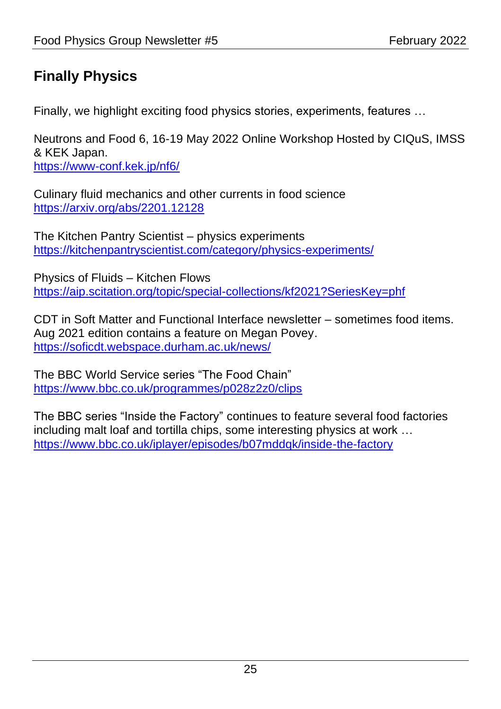## <span id="page-24-0"></span>**Finally Physics**

Finally, we highlight exciting food physics stories, experiments, features …

Neutrons and Food 6, 16-19 May 2022 Online Workshop Hosted by CIQuS, IMSS & KEK Japan.

[https://www-conf.kek.jp/nf6/](https://nam12.safelinks.protection.outlook.com/?url=https%3A%2F%2Fwww-conf.kek.jp%2Fnf6%2F&data=04%7C01%7Cjohn.bows%40pepsico.com%7C4c860a3aa45541bb9e3208d9efa2047e%7C42cc3295cd0e449cb98e5ce5b560c1d3%7C0%7C0%7C637804301408794349%7CUnknown%7CTWFpbGZsb3d8eyJWIjoiMC4wLjAwMDAiLCJQIjoiV2luMzIiLCJBTiI6Ik1haWwiLCJXVCI6Mn0%3D%7C3000&sdata=fki2AZvAlIz1sWhzudtEG7uSpGcKrT9l9dJ%2FNWnS9ZM%3D&reserved=0)

Culinary fluid mechanics and other currents in food science <https://arxiv.org/abs/2201.12128>

The Kitchen Pantry Scientist – physics experiments <https://kitchenpantryscientist.com/category/physics-experiments/>

Physics of Fluids – Kitchen Flows [https://aip.scitation.org/topic/special-collections/kf2021?SeriesKey=phf](https://nam12.safelinks.protection.outlook.com/?url=https%3A%2F%2Faip.scitation.org%2Ftopic%2Fspecial-collections%2Fkf2021%3FSeriesKey%3Dphf&data=04%7C01%7Cjohn.bows%40pepsico.com%7C1c56705e7c5e4c1ee75008d9f31a49d1%7C42cc3295cd0e449cb98e5ce5b560c1d3%7C0%7C0%7C637808116505575078%7CUnknown%7CTWFpbGZsb3d8eyJWIjoiMC4wLjAwMDAiLCJQIjoiV2luMzIiLCJBTiI6Ik1haWwiLCJXVCI6Mn0%3D%7C3000&sdata=inZATZr%2FYfPXcwkA5IA6YNo6qptjSpMLm6NPLtBvtAs%3D&reserved=0)

CDT in Soft Matter and Functional Interface newsletter – sometimes food items. Aug 2021 edition contains a feature on Megan Povey. <https://soficdt.webspace.durham.ac.uk/news/>

The BBC World Service series "The Food Chain" <https://www.bbc.co.uk/programmes/p028z2z0/clips>

The BBC series "Inside the Factory" continues to feature several food factories including malt loaf and tortilla chips, some interesting physics at work … <https://www.bbc.co.uk/iplayer/episodes/b07mddqk/inside-the-factory>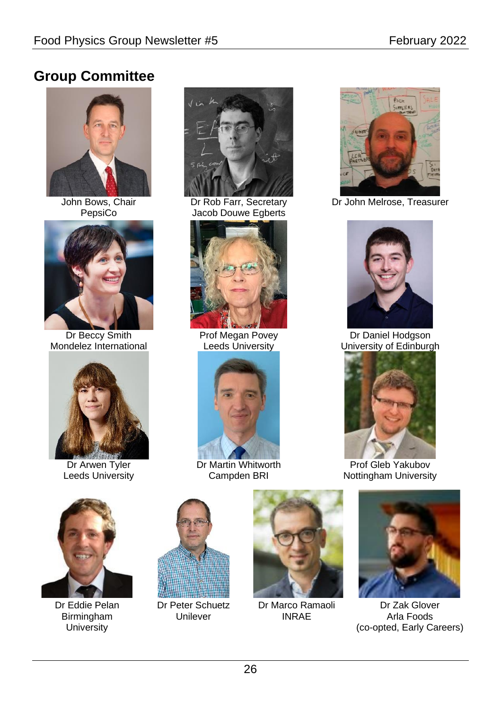## <span id="page-25-0"></span>**Group Committee**



John Bows, Chair PepsiCo



Dr Beccy Smith Mondelez International



Dr Arwen Tyler Leeds University



Dr Rob Farr, Secretary Jacob Douwe Egberts



Prof Megan Povey Leeds University



Dr Martin Whitworth Campden BRI



Dr John Melrose, Treasurer



Dr Daniel Hodgson University of Edinburgh



Prof Gleb Yakubov Nottingham University



Dr Eddie Pelan Birmingham **University** 



Dr Peter Schuetz Unilever



Dr Marco Ramaoli INRAE



Dr Zak Glover Arla Foods (co-opted, Early Careers)